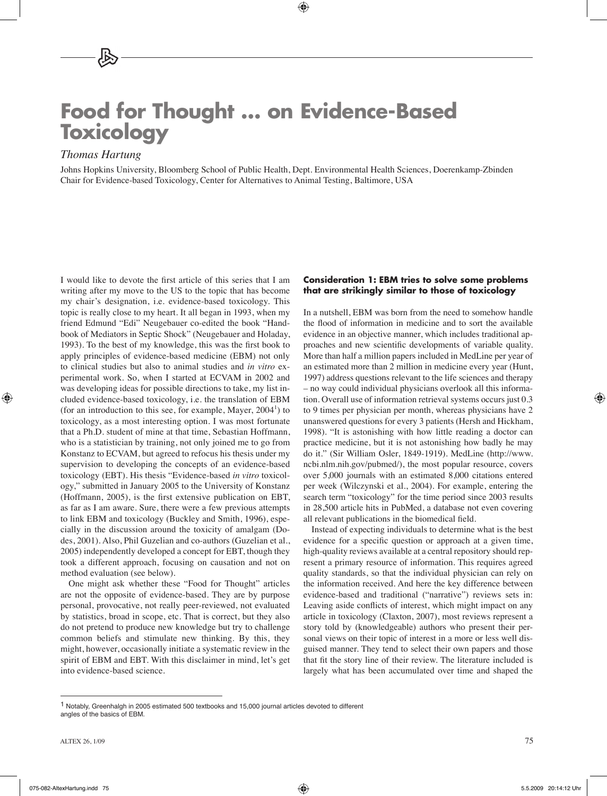# **Food for Thought … on Evidence-Based Toxicology**

# *Thomas Hartung*

Johns Hopkins University, Bloomberg School of Public Health, Dept. Environmental Health Sciences, Doerenkamp-Zbinden Chair for Evidence-based Toxicology, Center for Alternatives to Animal Testing, Baltimore, USA

I would like to devote the first article of this series that I am writing after my move to the US to the topic that has become my chair's designation, i.e. evidence-based toxicology. This topic is really close to my heart. It all began in 1993, when my friend Edmund "Edi" Neugebauer co-edited the book "Handbook of Mediators in Septic Shock" (Neugebauer and Holaday, 1993). To the best of my knowledge, this was the first book to apply principles of evidence-based medicine (EBM) not only to clinical studies but also to animal studies and *in vitro* experimental work. So, when I started at ECVAM in 2002 and was developing ideas for possible directions to take, my list included evidence-based toxicology, i.e. the translation of EBM (for an introduction to this see, for example, Mayer,  $2004<sup>1</sup>$ ) to toxicology, as a most interesting option. I was most fortunate that a Ph.D. student of mine at that time, Sebastian Hoffmann, who is a statistician by training, not only joined me to go from Konstanz to ECVAM, but agreed to refocus his thesis under my supervision to developing the concepts of an evidence-based toxicology (EBT). His thesis "Evidence-based *in vitro* toxicology," submitted in January 2005 to the University of Konstanz (Hoffmann, 2005), is the first extensive publication on EBT, as far as I am aware. Sure, there were a few previous attempts to link EBM and toxicology (Buckley and Smith, 1996), especially in the discussion around the toxicity of amalgam (Dodes, 2001). Also, Phil Guzelian and co-authors (Guzelian et al., 2005) independently developed a concept for EBT, though they took a different approach, focusing on causation and not on method evaluation (see below).

One might ask whether these "Food for Thought" articles are not the opposite of evidence-based. They are by purpose personal, provocative, not really peer-reviewed, not evaluated by statistics, broad in scope, etc. That is correct, but they also do not pretend to produce new knowledge but try to challenge common beliefs and stimulate new thinking. By this, they might, however, occasionally initiate a systematic review in the spirit of EBM and EBT. With this disclaimer in mind, let's get into evidence-based science.

#### **Consideration 1: EBM tries to solve some problems that are strikingly similar to those of toxicology**

In a nutshell, EBM was born from the need to somehow handle the flood of information in medicine and to sort the available evidence in an objective manner, which includes traditional approaches and new scientific developments of variable quality. More than half a million papers included in MedLine per year of an estimated more than 2 million in medicine every year (Hunt, 1997) address questions relevant to the life sciences and therapy – no way could individual physicians overlook all this information. Overall use of information retrieval systems occurs just 0.3 to 9 times per physician per month, whereas physicians have 2 unanswered questions for every 3 patients (Hersh and Hickham, 1998). "It is astonishing with how little reading a doctor can practice medicine, but it is not astonishing how badly he may do it." (Sir William Osler, 1849-1919). MedLine (http://www. ncbi.nlm.nih.gov/pubmed/), the most popular resource, covers over 5,000 journals with an estimated 8,000 citations entered per week (Wilczynski et al., 2004). For example, entering the search term "toxicology" for the time period since 2003 results in 28,500 article hits in PubMed, a database not even covering all relevant publications in the biomedical field.

Instead of expecting individuals to determine what is the best evidence for a specific question or approach at a given time, high-quality reviews available at a central repository should represent a primary resource of information. This requires agreed quality standards, so that the individual physician can rely on the information received. And here the key difference between evidence-based and traditional ("narrative") reviews sets in: Leaving aside conflicts of interest, which might impact on any article in toxicology (Claxton, 2007), most reviews represent a story told by (knowledgeable) authors who present their personal views on their topic of interest in a more or less well disguised manner. They tend to select their own papers and those that fit the story line of their review. The literature included is largely what has been accumulated over time and shaped the

<sup>1</sup> Notably, Greenhalgh in 2005 estimated 500 textbooks and 15,000 journal articles devoted to different angles of the basics of EBM.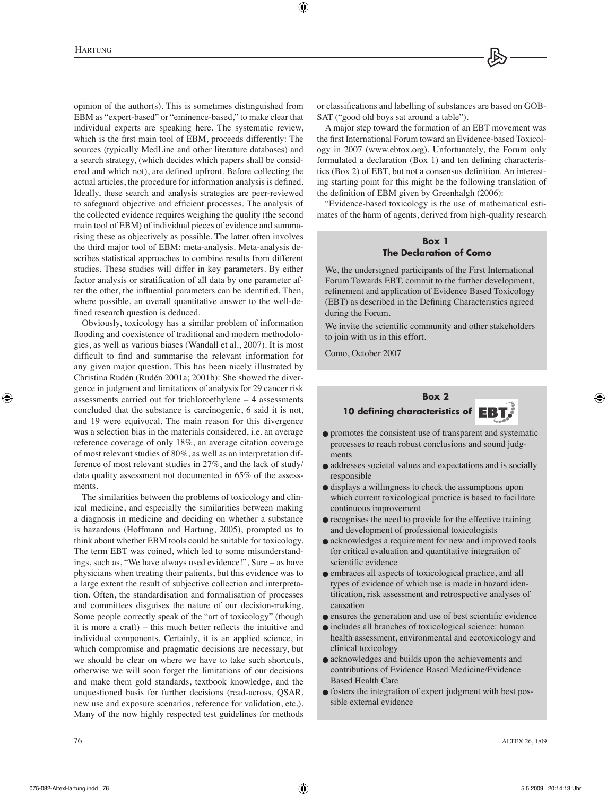opinion of the author(s). This is sometimes distinguished from EBM as "expert-based" or "eminence-based," to make clear that individual experts are speaking here. The systematic review, which is the first main tool of EBM, proceeds differently: The sources (typically MedLine and other literature databases) and a search strategy, (which decides which papers shall be considered and which not), are defined upfront. Before collecting the actual articles, the procedure for information analysis is defined. Ideally, these search and analysis strategies are peer-reviewed to safeguard objective and efficient processes. The analysis of the collected evidence requires weighing the quality (the second main tool of EBM) of individual pieces of evidence and summarising these as objectively as possible. The latter often involves the third major tool of EBM: meta-analysis. Meta-analysis describes statistical approaches to combine results from different studies. These studies will differ in key parameters. By either factor analysis or stratification of all data by one parameter after the other, the influential parameters can be identified. Then, where possible, an overall quantitative answer to the well-defined research question is deduced.

Obviously, toxicology has a similar problem of information flooding and coexistence of traditional and modern methodologies, as well as various biases (Wandall et al., 2007). It is most difficult to find and summarise the relevant information for any given major question. This has been nicely illustrated by Christina Rudén (Rudén 2001a; 2001b): She showed the divergence in judgment and limitations of analysis for 29 cancer risk assessments carried out for trichloroethylene – 4 assessments concluded that the substance is carcinogenic, 6 said it is not, and 19 were equivocal. The main reason for this divergence was a selection bias in the materials considered, i.e. an average reference coverage of only 18%, an average citation coverage of most relevant studies of 80%, as well as an interpretation difference of most relevant studies in 27%, and the lack of study/ data quality assessment not documented in 65% of the assessments.

The similarities between the problems of toxicology and clinical medicine, and especially the similarities between making a diagnosis in medicine and deciding on whether a substance is hazardous (Hoffmann and Hartung, 2005), prompted us to think about whether EBM tools could be suitable for toxicology. The term EBT was coined, which led to some misunderstandings, such as, "We have always used evidence!", Sure – as have physicians when treating their patients, but this evidence was to a large extent the result of subjective collection and interpretation. Often, the standardisation and formalisation of processes and committees disguises the nature of our decision-making. Some people correctly speak of the "art of toxicology" (though it is more a craft) – this much better reflects the intuitive and individual components. Certainly, it is an applied science, in which compromise and pragmatic decisions are necessary, but we should be clear on where we have to take such shortcuts. otherwise we will soon forget the limitations of our decisions and make them gold standards, textbook knowledge, and the unquestioned basis for further decisions (read-across, QSAR, new use and exposure scenarios, reference for validation, etc.). Many of the now highly respected test guidelines for methods

or classifications and labelling of substances are based on GOB-SAT ("good old boys sat around a table").

A major step toward the formation of an EBT movement was the first International Forum toward an Evidence-based Toxicology in 2007 (www.ebtox.org). Unfortunately, the Forum only formulated a declaration (Box 1) and ten defining characteristics (Box 2) of EBT, but not a consensus definition. An interesting starting point for this might be the following translation of the definition of EBM given by Greenhalgh (2006):

"Evidence-based toxicology is the use of mathematical estimates of the harm of agents, derived from high-quality research

#### **Box 1 The Declaration of Como**

We, the undersigned participants of the First International Forum Towards EBT, commit to the further development, refinement and application of Evidence Based Toxicology (EBT) as described in the Defining Characteristics agreed during the Forum.

We invite the scientific community and other stakeholders to join with us in this effort.

Como, October 2007



- promotes the consistent use of transparent and systematic processes to reach robust conclusions and sound judgments
- addresses societal values and expectations and is socially responsible
- displays a willingness to check the assumptions upon which current toxicological practice is based to facilitate continuous improvement
- recognises the need to provide for the effective training and development of professional toxicologists
- acknowledges a requirement for new and improved tools for critical evaluation and quantitative integration of scientific evidence
- embraces all aspects of toxicological practice, and all types of evidence of which use is made in hazard identification, risk assessment and retrospective analyses of causation
- ensures the generation and use of best scientific evidence
- includes all branches of toxicological science: human health assessment, environmental and ecotoxicology and clinical toxicology
- acknowledges and builds upon the achievements and contributions of Evidence Based Medicine/Evidence Based Health Care
- fosters the integration of expert judgment with best possible external evidence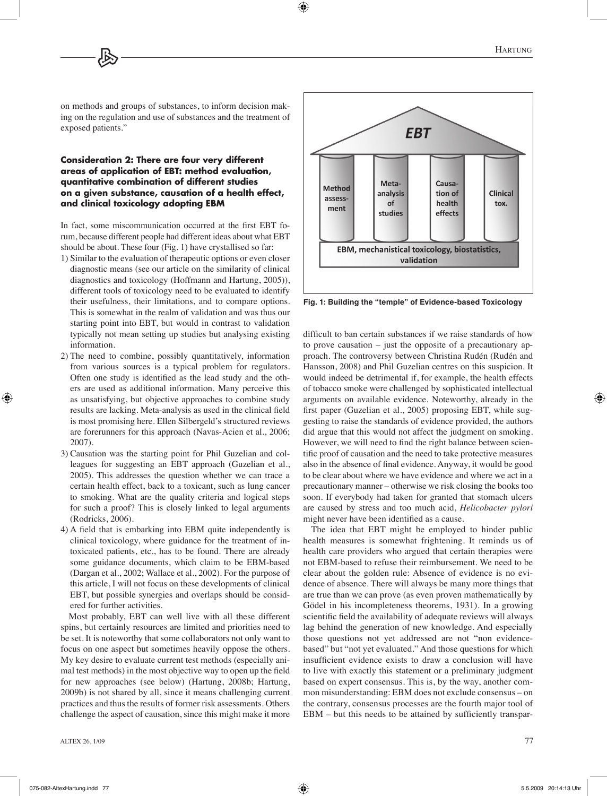on methods and groups of substances, to inform decision making on the regulation and use of substances and the treatment of exposed patients."

#### **Consideration 2: There are four very different areas of application of EBT: method evaluation, quantitative combination of different studies on a given substance, causation of a health effect, and clinical toxicology adopting EBM**

In fact, some miscommunication occurred at the first EBT forum, because different people had different ideas about what EBT should be about. These four (Fig. 1) have crystallised so far:

- 1) Similar to the evaluation of therapeutic options or even closer diagnostic means (see our article on the similarity of clinical diagnostics and toxicology (Hoffmann and Hartung, 2005)), different tools of toxicology need to be evaluated to identify their usefulness, their limitations, and to compare options. This is somewhat in the realm of validation and was thus our starting point into EBT, but would in contrast to validation typically not mean setting up studies but analysing existing information.
- 2) The need to combine, possibly quantitatively, information from various sources is a typical problem for regulators. Often one study is identified as the lead study and the others are used as additional information. Many perceive this as unsatisfying, but objective approaches to combine study results are lacking. Meta-analysis as used in the clinical field is most promising here. Ellen Silbergeld's structured reviews are forerunners for this approach (Navas-Acien et al., 2006; 2007).
- 3) Causation was the starting point for Phil Guzelian and colleagues for suggesting an EBT approach (Guzelian et al., 2005). This addresses the question whether we can trace a certain health effect, back to a toxicant, such as lung cancer to smoking. What are the quality criteria and logical steps for such a proof? This is closely linked to legal arguments (Rodricks, 2006).
- 4) A field that is embarking into EBM quite independently is clinical toxicology, where guidance for the treatment of intoxicated patients, etc., has to be found. There are already some guidance documents, which claim to be EBM-based (Dargan et al., 2002; Wallace et al., 2002). For the purpose of this article, I will not focus on these developments of clinical EBT, but possible synergies and overlaps should be considered for further activities.

Most probably, EBT can well live with all these different spins, but certainly resources are limited and priorities need to be set. It is noteworthy that some collaborators not only want to focus on one aspect but sometimes heavily oppose the others. My key desire to evaluate current test methods (especially animal test methods) in the most objective way to open up the field for new approaches (see below) (Hartung, 2008b; Hartung, 2009b) is not shared by all, since it means challenging current practices and thus the results of former risk assessments. Others challenge the aspect of causation, since this might make it more



**Fig. 1: Building the "temple" of Evidence-based Toxicology**

difficult to ban certain substances if we raise standards of how to prove causation – just the opposite of a precautionary approach. The controversy between Christina Rudén (Rudén and Hansson, 2008) and Phil Guzelian centres on this suspicion. It would indeed be detrimental if, for example, the health effects of tobacco smoke were challenged by sophisticated intellectual arguments on available evidence. Noteworthy, already in the first paper (Guzelian et al., 2005) proposing EBT, while suggesting to raise the standards of evidence provided, the authors did argue that this would not affect the judgment on smoking. However, we will need to find the right balance between scientific proof of causation and the need to take protective measures also in the absence of final evidence. Anyway, it would be good to be clear about where we have evidence and where we act in a precautionary manner – otherwise we risk closing the books too soon. If everybody had taken for granted that stomach ulcers are caused by stress and too much acid, *Helicobacter pylori* might never have been identified as a cause.

The idea that EBT might be employed to hinder public health measures is somewhat frightening. It reminds us of health care providers who argued that certain therapies were not EBM-based to refuse their reimbursement. We need to be clear about the golden rule: Absence of evidence is no evidence of absence. There will always be many more things that are true than we can prove (as even proven mathematically by Gödel in his incompleteness theorems, 1931). In a growing scientific field the availability of adequate reviews will always lag behind the generation of new knowledge. And especially those questions not yet addressed are not "non evidencebased" but "not yet evaluated." And those questions for which insufficient evidence exists to draw a conclusion will have to live with exactly this statement or a preliminary judgment based on expert consensus. This is, by the way, another common misunderstanding: EBM does not exclude consensus – on the contrary, consensus processes are the fourth major tool of EBM – but this needs to be attained by sufficiently transpar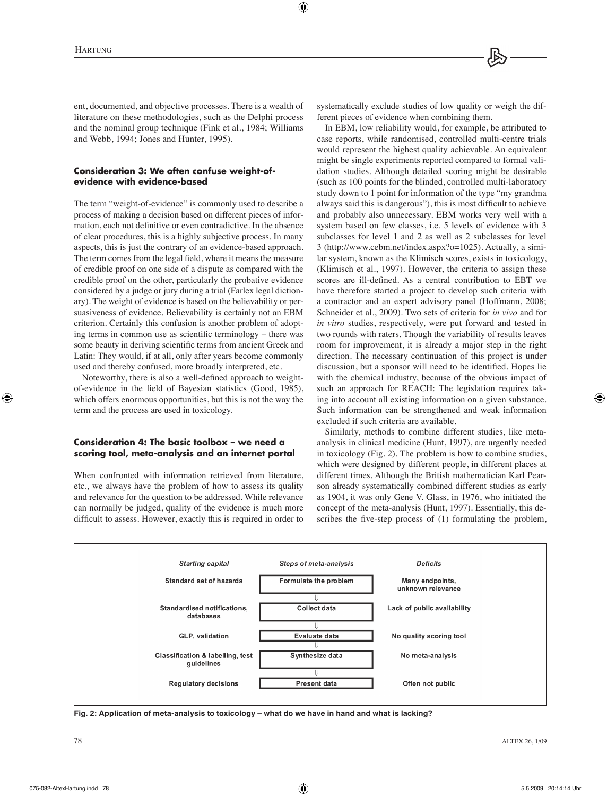ent, documented, and objective processes. There is a wealth of literature on these methodologies, such as the Delphi process and the nominal group technique (Fink et al., 1984; Williams and Webb, 1994; Jones and Hunter, 1995).

#### **Consideration 3: We often confuse weight-ofevidence with evidence-based**

The term "weight-of-evidence" is commonly used to describe a process of making a decision based on different pieces of information, each not definitive or even contradictive. In the absence of clear procedures, this is a highly subjective process. In many aspects, this is just the contrary of an evidence-based approach. The term comes from the legal field, where it means the measure of credible proof on one side of a dispute as compared with the credible proof on the other, particularly the probative evidence considered by a judge or jury during a trial (Farlex legal dictionary). The weight of evidence is based on the believability or persuasiveness of evidence. Believability is certainly not an EBM criterion. Certainly this confusion is another problem of adopting terms in common use as scientific terminology – there was some beauty in deriving scientific terms from ancient Greek and Latin: They would, if at all, only after years become commonly used and thereby confused, more broadly interpreted, etc.

Noteworthy, there is also a well-defined approach to weightof-evidence in the field of Bayesian statistics (Good, 1985), which offers enormous opportunities, but this is not the way the term and the process are used in toxicology.

#### **Consideration 4: The basic toolbox – we need a scoring tool, meta-analysis and an internet portal**

When confronted with information retrieved from literature, etc., we always have the problem of how to assess its quality and relevance for the question to be addressed. While relevance can normally be judged, quality of the evidence is much more difficult to assess. However, exactly this is required in order to

systematically exclude studies of low quality or weigh the different pieces of evidence when combining them.

In EBM, low reliability would, for example, be attributed to case reports, while randomised, controlled multi-centre trials would represent the highest quality achievable. An equivalent might be single experiments reported compared to formal validation studies. Although detailed scoring might be desirable (such as 100 points for the blinded, controlled multi-laboratory study down to 1 point for information of the type "my grandma always said this is dangerous"), this is most difficult to achieve and probably also unnecessary. EBM works very well with a system based on few classes, i.e. 5 levels of evidence with 3 subclasses for level 1 and 2 as well as 2 subclasses for level 3 (http://www.cebm.net/index.aspx?o=1025). Actually, a similar system, known as the Klimisch scores, exists in toxicology, (Klimisch et al., 1997). However, the criteria to assign these scores are ill-defined. As a central contribution to EBT we have therefore started a project to develop such criteria with a contractor and an expert advisory panel (Hoffmann, 2008; Schneider et al., 2009). Two sets of criteria for *in vivo* and for *in vitro* studies, respectively, were put forward and tested in two rounds with raters. Though the variability of results leaves room for improvement, it is already a major step in the right direction. The necessary continuation of this project is under discussion, but a sponsor will need to be identified. Hopes lie with the chemical industry, because of the obvious impact of such an approach for REACH: The legislation requires taking into account all existing information on a given substance. Such information can be strengthened and weak information excluded if such criteria are available.

Similarly, methods to combine different studies, like metaanalysis in clinical medicine (Hunt, 1997), are urgently needed in toxicology (Fig. 2). The problem is how to combine studies, which were designed by different people, in different places at different times. Although the British mathematician Karl Pearson already systematically combined different studies as early as 1904, it was only Gene V. Glass, in 1976, who initiated the concept of the meta-analysis (Hunt, 1997). Essentially, this describes the five-step process of (1) formulating the problem,



**Fig. 2: Application of meta-analysis to toxicology – what do we have in hand and what is lacking?**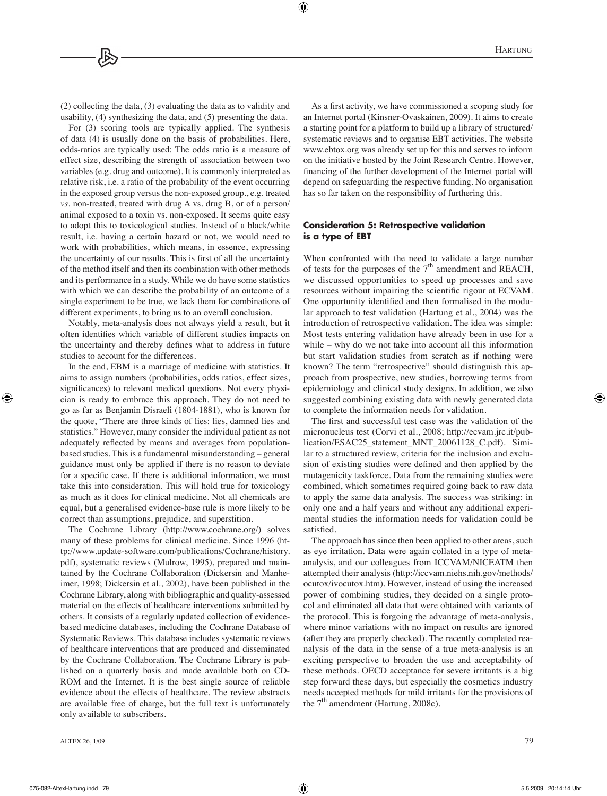(2) collecting the data, (3) evaluating the data as to validity and usability, (4) synthesizing the data, and (5) presenting the data.

For (3) scoring tools are typically applied. The synthesis of data (4) is usually done on the basis of probabilities. Here, odds-ratios are typically used: The odds ratio is a measure of effect size, describing the strength of association between two variables (e.g. drug and outcome). It is commonly interpreted as relative risk, i.e. a ratio of the probability of the event occurring in the exposed group versus the non-exposed group., e.g. treated *vs*. non-treated, treated with drug A vs. drug B, or of a person/ animal exposed to a toxin vs. non-exposed. It seems quite easy to adopt this to toxicological studies. Instead of a black/white result, i.e. having a certain hazard or not, we would need to work with probabilities, which means, in essence, expressing the uncertainty of our results. This is first of all the uncertainty of the method itself and then its combination with other methods and its performance in a study. While we do have some statistics with which we can describe the probability of an outcome of a single experiment to be true, we lack them for combinations of different experiments, to bring us to an overall conclusion.

Notably, meta-analysis does not always yield a result, but it often identifies which variable of different studies impacts on the uncertainty and thereby defines what to address in future studies to account for the differences.

In the end, EBM is a marriage of medicine with statistics. It aims to assign numbers (probabilities, odds ratios, effect sizes, significances) to relevant medical questions. Not every physician is ready to embrace this approach. They do not need to go as far as Benjamin Disraeli (1804-1881), who is known for the quote, "There are three kinds of lies: lies, damned lies and statistics." However, many consider the individual patient as not adequately reflected by means and averages from populationbased studies. This is a fundamental misunderstanding – general guidance must only be applied if there is no reason to deviate for a specific case. If there is additional information, we must take this into consideration. This will hold true for toxicology as much as it does for clinical medicine. Not all chemicals are equal, but a generalised evidence-base rule is more likely to be correct than assumptions, prejudice, and superstition.

The Cochrane Library (http://www.cochrane.org/) solves many of these problems for clinical medicine. Since 1996 (http://www.update-software.com/publications/Cochrane/history. pdf), systematic reviews (Mulrow, 1995), prepared and maintained by the Cochrane Collaboration (Dickersin and Manheimer, 1998; Dickersin et al., 2002), have been published in the Cochrane Library, along with bibliographic and quality-assessed material on the effects of healthcare interventions submitted by others. It consists of a regularly updated collection of evidencebased medicine databases, including the Cochrane Database of Systematic Reviews. This database includes systematic reviews of healthcare interventions that are produced and disseminated by the Cochrane Collaboration. The Cochrane Library is published on a quarterly basis and made available both on CD-ROM and the Internet. It is the best single source of reliable evidence about the effects of healthcare. The review abstracts are available free of charge, but the full text is unfortunately only available to subscribers.

As a first activity, we have commissioned a scoping study for an Internet portal (Kinsner-Ovaskainen, 2009). It aims to create a starting point for a platform to build up a library of structured/ systematic reviews and to organise EBT activities. The website www.ebtox.org was already set up for this and serves to inform on the initiative hosted by the Joint Research Centre. However, financing of the further development of the Internet portal will depend on safeguarding the respective funding. No organisation has so far taken on the responsibility of furthering this.

#### **Consideration 5: Retrospective validation is a type of EBT**

When confronted with the need to validate a large number of tests for the purposes of the  $7<sup>th</sup>$  amendment and REACH, we discussed opportunities to speed up processes and save resources without impairing the scientific rigour at ECVAM. One opportunity identified and then formalised in the modular approach to test validation (Hartung et al., 2004) was the introduction of retrospective validation. The idea was simple: Most tests entering validation have already been in use for a while – why do we not take into account all this information but start validation studies from scratch as if nothing were known? The term "retrospective" should distinguish this approach from prospective, new studies, borrowing terms from epidemiology and clinical study designs. In addition, we also suggested combining existing data with newly generated data to complete the information needs for validation.

The first and successful test case was the validation of the micronucleus test (Corvi et al., 2008; http://ecvam.jrc.it/publication/ESAC25\_statement\_MNT\_20061128\_C.pdf). Similar to a structured review, criteria for the inclusion and exclusion of existing studies were defined and then applied by the mutagenicity taskforce. Data from the remaining studies were combined, which sometimes required going back to raw data to apply the same data analysis. The success was striking: in only one and a half years and without any additional experimental studies the information needs for validation could be satisfied.

The approach has since then been applied to other areas, such as eye irritation. Data were again collated in a type of metaanalysis, and our colleagues from ICCVAM/NICEATM then attempted their analysis (http://iccvam.niehs.nih.gov/methods/ ocutox/ivocutox.htm). However, instead of using the increased power of combining studies, they decided on a single protocol and eliminated all data that were obtained with variants of the protocol. This is forgoing the advantage of meta-analysis, where minor variations with no impact on results are ignored (after they are properly checked). The recently completed reanalysis of the data in the sense of a true meta-analysis is an exciting perspective to broaden the use and acceptability of these methods. OECD acceptance for severe irritants is a big step forward these days, but especially the cosmetics industry needs accepted methods for mild irritants for the provisions of the  $7<sup>th</sup>$  amendment (Hartung, 2008c).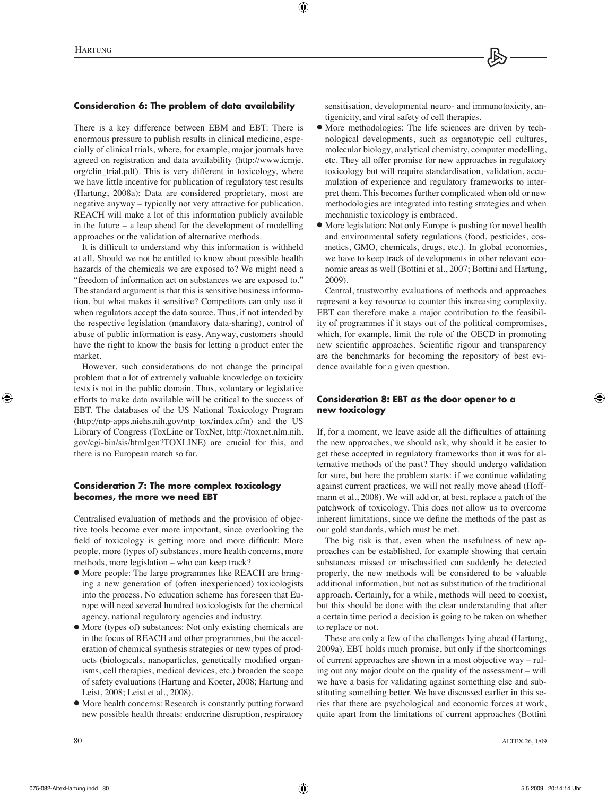# **Consideration 6: The problem of data availability**

There is a key difference between EBM and EBT: There is enormous pressure to publish results in clinical medicine, especially of clinical trials, where, for example, major journals have agreed on registration and data availability (http://www.icmje. org/clin\_trial.pdf). This is very different in toxicology, where we have little incentive for publication of regulatory test results (Hartung, 2008a): Data are considered proprietary, most are negative anyway – typically not very attractive for publication. REACH will make a lot of this information publicly available in the future – a leap ahead for the development of modelling approaches or the validation of alternative methods.

It is difficult to understand why this information is withheld at all. Should we not be entitled to know about possible health hazards of the chemicals we are exposed to? We might need a "freedom of information act on substances we are exposed to." The standard argument is that this is sensitive business information, but what makes it sensitive? Competitors can only use it when regulators accept the data source. Thus, if not intended by the respective legislation (mandatory data-sharing), control of abuse of public information is easy. Anyway, customers should have the right to know the basis for letting a product enter the market.

However, such considerations do not change the principal problem that a lot of extremely valuable knowledge on toxicity tests is not in the public domain. Thus, voluntary or legislative efforts to make data available will be critical to the success of EBT. The databases of the US National Toxicology Program (http://ntp-apps.niehs.nih.gov/ntp\_tox/index.cfm) and the US Library of Congress (ToxLine or ToxNet, http://toxnet.nlm.nih. gov/cgi-bin/sis/htmlgen?TOXLINE) are crucial for this, and there is no European match so far.

#### **Consideration 7: The more complex toxicology becomes, the more we need EBT**

Centralised evaluation of methods and the provision of objective tools become ever more important, since overlooking the field of toxicology is getting more and more difficult: More people, more (types of) substances, more health concerns, more methods, more legislation – who can keep track?

- More people: The large programmes like REACH are bringing a new generation of (often inexperienced) toxicologists into the process. No education scheme has foreseen that Europe will need several hundred toxicologists for the chemical agency, national regulatory agencies and industry.
- More (types of) substances: Not only existing chemicals are in the focus of REACH and other programmes, but the acceleration of chemical synthesis strategies or new types of products (biologicals, nanoparticles, genetically modified organisms, cell therapies, medical devices, etc.) broaden the scope of safety evaluations (Hartung and Koeter, 2008; Hartung and Leist, 2008; Leist et al., 2008).
- More health concerns: Research is constantly putting forward new possible health threats: endocrine disruption, respiratory

sensitisation, developmental neuro- and immunotoxicity, antigenicity, and viral safety of cell therapies.

- More methodologies: The life sciences are driven by technological developments, such as organotypic cell cultures, molecular biology, analytical chemistry, computer modelling, etc. They all offer promise for new approaches in regulatory toxicology but will require standardisation, validation, accumulation of experience and regulatory frameworks to interpret them. This becomes further complicated when old or new methodologies are integrated into testing strategies and when mechanistic toxicology is embraced.
- More legislation: Not only Europe is pushing for novel health and environmental safety regulations (food, pesticides, cosmetics, GMO, chemicals, drugs, etc.). In global economies, we have to keep track of developments in other relevant economic areas as well (Bottini et al., 2007; Bottini and Hartung, 2009).

Central, trustworthy evaluations of methods and approaches represent a key resource to counter this increasing complexity. EBT can therefore make a major contribution to the feasibility of programmes if it stays out of the political compromises, which, for example, limit the role of the OECD in promoting new scientific approaches. Scientific rigour and transparency are the benchmarks for becoming the repository of best evidence available for a given question.

#### **Consideration 8: EBT as the door opener to a new toxicology**

If, for a moment, we leave aside all the difficulties of attaining the new approaches, we should ask, why should it be easier to get these accepted in regulatory frameworks than it was for alternative methods of the past? They should undergo validation for sure, but here the problem starts: if we continue validating against current practices, we will not really move ahead (Hoffmann et al., 2008). We will add or, at best, replace a patch of the patchwork of toxicology. This does not allow us to overcome inherent limitations, since we define the methods of the past as our gold standards, which must be met.

The big risk is that, even when the usefulness of new approaches can be established, for example showing that certain substances missed or misclassified can suddenly be detected properly, the new methods will be considered to be valuable additional information, but not as substitution of the traditional approach. Certainly, for a while, methods will need to coexist, but this should be done with the clear understanding that after a certain time period a decision is going to be taken on whether to replace or not.

These are only a few of the challenges lying ahead (Hartung, 2009a). EBT holds much promise, but only if the shortcomings of current approaches are shown in a most objective way – ruling out any major doubt on the quality of the assessment – will we have a basis for validating against something else and substituting something better. We have discussed earlier in this series that there are psychological and economic forces at work, quite apart from the limitations of current approaches (Bottini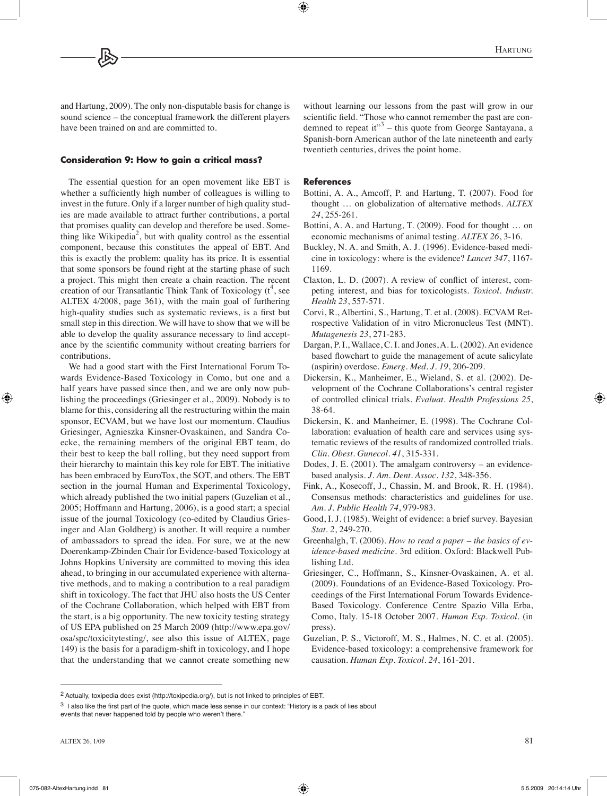and Hartung, 2009). The only non-disputable basis for change is sound science – the conceptual framework the different players have been trained on and are committed to.

#### **Consideration 9: How to gain a critical mass?**

The essential question for an open movement like EBT is whether a sufficiently high number of colleagues is willing to invest in the future. Only if a larger number of high quality studies are made available to attract further contributions, a portal that promises quality can develop and therefore be used. Something like Wikipedia<sup>2</sup>, but with quality control as the essential component, because this constitutes the appeal of EBT. And this is exactly the problem: quality has its price. It is essential that some sponsors be found right at the starting phase of such a project. This might then create a chain reaction. The recent creation of our Transatlantic Think Tank of Toxicology  $(t^4)$ , see ALTEX 4/2008, page 361), with the main goal of furthering high-quality studies such as systematic reviews, is a first but small step in this direction. We will have to show that we will be able to develop the quality assurance necessary to find acceptance by the scientific community without creating barriers for contributions.

We had a good start with the First International Forum Towards Evidence-Based Toxicology in Como, but one and a half years have passed since then, and we are only now publishing the proceedings (Griesinger et al., 2009). Nobody is to blame for this, considering all the restructuring within the main sponsor, ECVAM, but we have lost our momentum. Claudius Griesinger, Agnieszka Kinsner-Ovaskainen, and Sandra Coecke, the remaining members of the original EBT team, do their best to keep the ball rolling, but they need support from their hierarchy to maintain this key role for EBT. The initiative has been embraced by EuroTox, the SOT, and others. The EBT section in the journal Human and Experimental Toxicology, which already published the two initial papers (Guzelian et al., 2005; Hoffmann and Hartung, 2006), is a good start; a special issue of the journal Toxicology (co-edited by Claudius Griesinger and Alan Goldberg) is another. It will require a number of ambassadors to spread the idea. For sure, we at the new Doerenkamp-Zbinden Chair for Evidence-based Toxicology at Johns Hopkins University are committed to moving this idea ahead, to bringing in our accumulated experience with alternative methods, and to making a contribution to a real paradigm shift in toxicology. The fact that JHU also hosts the US Center of the Cochrane Collaboration, which helped with EBT from the start, is a big opportunity. The new toxicity testing strategy of US EPA published on 25 March 2009 (http://www.epa.gov/ osa/spc/toxicitytesting/, see also this issue of ALTEX, page 149) is the basis for a paradigm-shift in toxicology, and I hope that the understanding that we cannot create something new

without learning our lessons from the past will grow in our scientific field. "Those who cannot remember the past are condemned to repeat it" $3$  – this quote from George Santayana, a Spanish-born American author of the late nineteenth and early twentieth centuries, drives the point home.

#### **References**

- Bottini, A. A., Amcoff, P. and Hartung, T. (2007). Food for thought … on globalization of alternative methods. *ALTEX 24*, 255-261.
- Bottini, A. A. and Hartung, T. (2009). Food for thought … on economic mechanisms of animal testing. *ALTEX 26*, 3-16.
- Buckley, N. A. and Smith, A. J. (1996). Evidence-based medicine in toxicology: where is the evidence? *Lancet 347*, 1167- 1169.
- Claxton, L. D. (2007). A review of conflict of interest, competing interest, and bias for toxicologists. *Toxicol. Industr. Health 23*, 557-571.
- Corvi, R., Albertini, S., Hartung, T. et al. (2008). ECVAM Retrospective Validation of in vitro Micronucleus Test (MNT). *Mutagenesis 23*, 271-283.
- Dargan, P. I., Wallace, C. I. and Jones, A. L. (2002). An evidence based flowchart to guide the management of acute salicylate (aspirin) overdose. *Emerg. Med. J. 19*, 206-209.
- Dickersin, K., Manheimer, E., Wieland, S. et al. (2002). Development of the Cochrane Collaborations's central register of controlled clinical trials. *Evaluat. Health Professions 25*, 38-64.
- Dickersin, K. and Manheimer, E. (1998). The Cochrane Collaboration: evaluation of health care and services using systematic reviews of the results of randomized controlled trials. *Clin. Obest. Gunecol. 41*, 315-331.
- Dodes, J. E. (2001). The amalgam controversy an evidencebased analysis. *J. Am. Dent. Assoc. 132*, 348-356.
- Fink, A., Kosecoff, J., Chassin, M. and Brook, R. H. (1984). Consensus methods: characteristics and guidelines for use. *Am. J. Public Health 74*, 979-983.
- Good, I. J. (1985). Weight of evidence: a brief survey. Bayesian *Stat. 2*, 249-270.
- Greenhalgh, T. (2006). *How to read a paper the basics of evidence-based medicine*. 3rd edition. Oxford: Blackwell Publishing Ltd.
- Griesinger, C., Hoffmann, S., Kinsner-Ovaskainen, A. et al. (2009). Foundations of an Evidence-Based Toxicology. Proceedings of the First International Forum Towards Evidence-Based Toxicology. Conference Centre Spazio Villa Erba, Como, Italy. 15-18 October 2007. *Human Exp. Toxicol*. (in press).
- Guzelian, P. S., Victoroff, M. S., Halmes, N. C. et al. (2005). Evidence-based toxicology: a comprehensive framework for causation. *Human Exp. Toxicol. 24*, 161-201.

<sup>2</sup> Actually, toxipedia does exist (http://toxipedia.org/), but is not linked to principles of EBT.

<sup>3</sup> I also like the first part of the quote, which made less sense in our context: "History is a pack of lies about events that never happened told by people who weren't there."